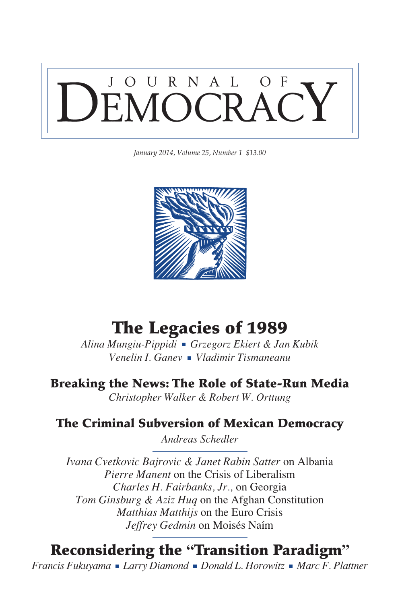

*January 2014, Volume 25, Number 1 \$13.00*



# The Legacies of 1989

*Alina Mungiu-Pippidi Grzegorz Ekiert & Jan Kubik Venelin I. Ganev • Vladimir Tismaneanu* 

## Breaking the News: The Role of State-Run Media

*Christopher Walker & Robert W. Orttung*

## The Criminal Subversion of Mexican Democracy

*Andreas Schedler*

*Ivana Cvetkovic Bajrovic & Janet Rabin Satter* on Albania *Pierre Manent* on the Crisis of Liberalism *Charles H. Fairbanks, Jr.,* on Georgia *Tom Ginsburg & Aziz Huq* on the Afghan Constitution *Matthias Matthijs* on the Euro Crisis *Jeffrey Gedmin* on Moisés Naím

# Reconsidering the **"**Transition Paradigm**"**

*Francis Fukuyama* Larry Diamond Donald L. Horowitz Marc F. Plattner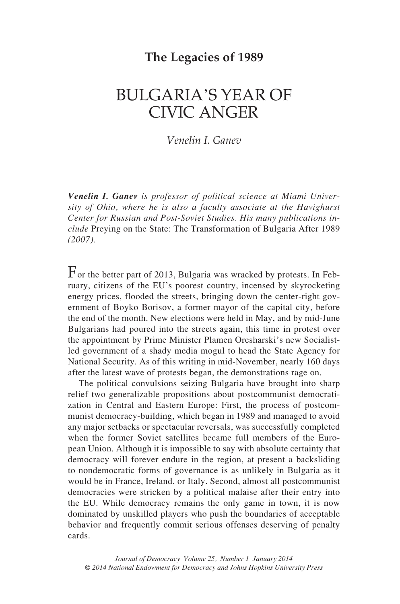### **The Legacies of 1989**

# Bulgaria'S Year of Civic Anger

*Venelin I. Ganev*

*Venelin I. Ganev is professor of political science at Miami University of Ohio, where he is also a faculty associate at the Havighurst Center for Russian and Post-Soviet Studies. His many publications include* Preying on the State: The Transformation of Bulgaria After 1989 *(2007).*

 $\Gamma$  or the better part of 2013, Bulgaria was wracked by protests. In February, citizens of the EU's poorest country, incensed by skyrocketing energy prices, flooded the streets, bringing down the center-right government of Boyko Borisov, a former mayor of the capital city, before the end of the month. New elections were held in May, and by mid-June Bulgarians had poured into the streets again, this time in protest over the appointment by Prime Minister Plamen Oresharski's new Socialistled government of a shady media mogul to head the State Agency for National Security. As of this writing in mid-November, nearly 160 days after the latest wave of protests began, the demonstrations rage on.

The political convulsions seizing Bulgaria have brought into sharp relief two generalizable propositions about postcommunist democratization in Central and Eastern Europe: First, the process of postcommunist democracy-building, which began in 1989 and managed to avoid any major setbacks or spectacular reversals, was successfully completed when the former Soviet satellites became full members of the European Union. Although it is impossible to say with absolute certainty that democracy will forever endure in the region, at present a backsliding to nondemocratic forms of governance is as unlikely in Bulgaria as it would be in France, Ireland, or Italy. Second, almost all postcommunist democracies were stricken by a political malaise after their entry into the EU. While democracy remains the only game in town, it is now dominated by unskilled players who push the boundaries of acceptable behavior and frequently commit serious offenses deserving of penalty cards.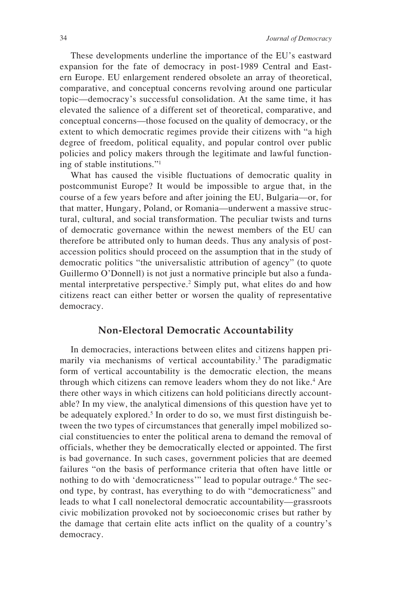These developments underline the importance of the EU's eastward expansion for the fate of democracy in post-1989 Central and Eastern Europe. EU enlargement rendered obsolete an array of theoretical, comparative, and conceptual concerns revolving around one particular topic—democracy's successful consolidation. At the same time, it has elevated the salience of a different set of theoretical, comparative, and conceptual concerns—those focused on the quality of democracy, or the extent to which democratic regimes provide their citizens with "a high degree of freedom, political equality, and popular control over public policies and policy makers through the legitimate and lawful functioning of stable institutions."1

What has caused the visible fluctuations of democratic quality in postcommunist Europe? It would be impossible to argue that, in the course of a few years before and after joining the EU, Bulgaria—or, for that matter, Hungary, Poland, or Romania—underwent a massive structural, cultural, and social transformation. The peculiar twists and turns of democratic governance within the newest members of the EU can therefore be attributed only to human deeds. Thus any analysis of postaccession politics should proceed on the assumption that in the study of democratic politics "the universalistic attribution of agency" (to quote Guillermo O'Donnell) is not just a normative principle but also a fundamental interpretative perspective.<sup>2</sup> Simply put, what elites do and how citizens react can either better or worsen the quality of representative democracy.

#### **Non-Electoral Democratic Accountability**

In democracies, interactions between elites and citizens happen primarily via mechanisms of vertical accountability.3 The paradigmatic form of vertical accountability is the democratic election, the means through which citizens can remove leaders whom they do not like.<sup>4</sup> Are there other ways in which citizens can hold politicians directly accountable? In my view, the analytical dimensions of this question have yet to be adequately explored.<sup>5</sup> In order to do so, we must first distinguish between the two types of circumstances that generally impel mobilized social constituencies to enter the political arena to demand the removal of officials, whether they be democratically elected or appointed. The first is bad governance. In such cases, government policies that are deemed failures "on the basis of performance criteria that often have little or nothing to do with 'democraticness'" lead to popular outrage.<sup>6</sup> The second type, by contrast, has everything to do with "democraticness" and leads to what I call nonelectoral democratic accountability—grassroots civic mobilization provoked not by socioeconomic crises but rather by the damage that certain elite acts inflict on the quality of a country's democracy.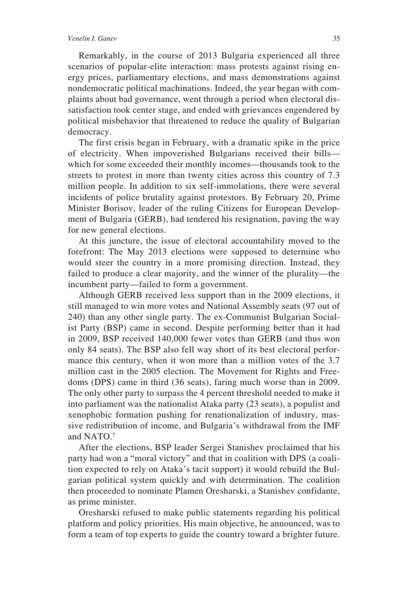Remarkably, in the course of 2013 Bulgaria experienced all three scenarios of popular-elite interaction: mass protests against rising energy prices, parliamentary elections, and mass demonstrations against nondemocratic political machinations. Indeed, the year began with complaints about bad governance, went through a period when electoral dissatisfaction took center stage, and ended with grievances engendered by political misbehavior that threatened to reduce the quality of Bulgarian democracy.

The first crisis began in February, with a dramatic spike in the price of electricity. When impoverished Bulgarians received their bills which for some exceeded their monthly incomes—thousands took to the streets to protest in more than twenty cities across this country of 7.3 million people. In addition to six self-immolations, there were several incidents of police brutality against protestors. By February 20, Prime Minister Borisov, leader of the ruling Citizens for European Development of Bulgaria (GERB), had tendered his resignation, paving the way for new general elections.

At this juncture, the issue of electoral accountability moved to the forefront: The May 2013 elections were supposed to determine who would steer the country in a more promising direction. Instead, they failed to produce a clear majority, and the winner of the plurality—the incumbent party—failed to form a government.

Although GERB received less support than in the 2009 elections, it still managed to win more votes and National Assembly seats (97 out of 240) than any other single party. The ex-Communist Bulgarian Socialist Party (BSP) came in second. Despite performing better than it had in 2009, BSP received 140,000 fewer votes than GERB (and thus won only 84 seats). The BSP also fell way short of its best electoral performance this century, when it won more than a million votes of the 3.7 million cast in the 2005 election. The Movement for Rights and Freedoms (DPS) came in third (36 seats), faring much worse than in 2009. The only other party to surpass the 4 percent threshold needed to make it into parliament was the nationalist Ataka party (23 seats), a populist and xenophobic formation pushing for renationalization of industry, massive redistribution of income, and Bulgaria's withdrawal from the IMF and NATO.7

After the elections, BSP leader Sergei Stanishev proclaimed that his party had won a "moral victory" and that in coalition with DPS (a coalition expected to rely on Ataka's tacit support) it would rebuild the Bulgarian political system quickly and with determination. The coalition then proceeded to nominate Plamen Oresharski, a Stanishev confidante, as prime minister.

Oresharski refused to make public statements regarding his political platform and policy priorities. His main objective, he announced, was to form a team of top experts to guide the country toward a brighter future.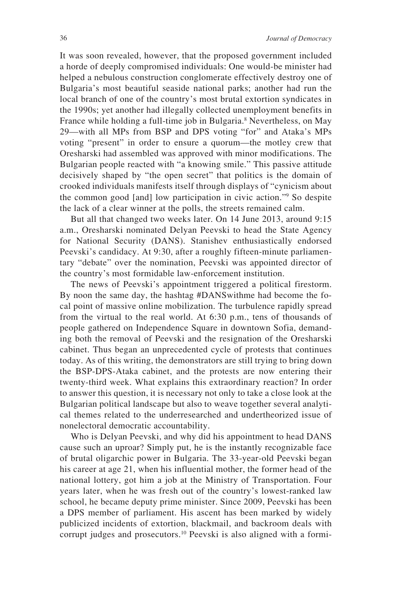It was soon revealed, however, that the proposed government included a horde of deeply compromised individuals: One would-be minister had helped a nebulous construction conglomerate effectively destroy one of Bulgaria's most beautiful seaside national parks; another had run the local branch of one of the country's most brutal extortion syndicates in the 1990s; yet another had illegally collected unemployment benefits in France while holding a full-time job in Bulgaria.<sup>8</sup> Nevertheless, on May 29—with all MPs from BSP and DPS voting "for" and Ataka's MPs voting "present" in order to ensure a quorum—the motley crew that Oresharski had assembled was approved with minor modifications. The Bulgarian people reacted with "a knowing smile." This passive attitude decisively shaped by "the open secret" that politics is the domain of crooked individuals manifests itself through displays of "cynicism about the common good [and] low participation in civic action."9 So despite the lack of a clear winner at the polls, the streets remained calm.

But all that changed two weeks later. On 14 June 2013, around 9:15 a.m., Oresharski nominated Delyan Peevski to head the State Agency for National Security (DANS). Stanishev enthusiastically endorsed Peevski's candidacy. At 9:30, after a roughly fifteen-minute parliamentary "debate" over the nomination, Peevski was appointed director of the country's most formidable law-enforcement institution.

The news of Peevski's appointment triggered a political firestorm. By noon the same day, the hashtag #DANSwithme had become the focal point of massive online mobilization. The turbulence rapidly spread from the virtual to the real world. At 6:30 p.m., tens of thousands of people gathered on Independence Square in downtown Sofia, demanding both the removal of Peevski and the resignation of the Oresharski cabinet. Thus began an unprecedented cycle of protests that continues today. As of this writing, the demonstrators are still trying to bring down the BSP-DPS-Ataka cabinet, and the protests are now entering their twenty-third week. What explains this extraordinary reaction? In order to answer this question, it is necessary not only to take a close look at the Bulgarian political landscape but also to weave together several analytical themes related to the underresearched and undertheorized issue of nonelectoral democratic accountability.

Who is Delyan Peevski, and why did his appointment to head DANS cause such an uproar? Simply put, he is the instantly recognizable face of brutal oligarchic power in Bulgaria. The 33-year-old Peevski began his career at age 21, when his influential mother, the former head of the national lottery, got him a job at the Ministry of Transportation. Four years later, when he was fresh out of the country's lowest-ranked law school, he became deputy prime minister. Since 2009, Peevski has been a DPS member of parliament. His ascent has been marked by widely publicized incidents of extortion, blackmail, and backroom deals with corrupt judges and prosecutors.10 Peevski is also aligned with a formi-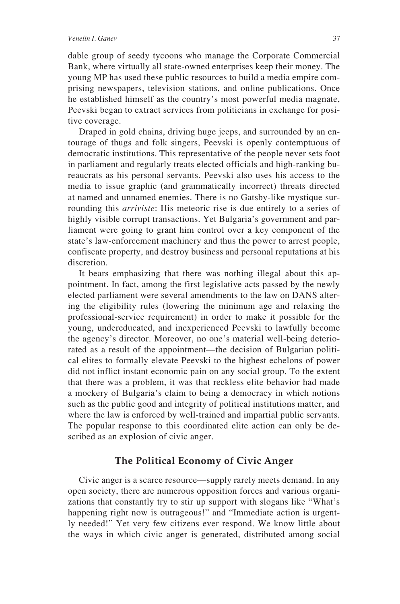dable group of seedy tycoons who manage the Corporate Commercial Bank, where virtually all state-owned enterprises keep their money. The young MP has used these public resources to build a media empire comprising newspapers, television stations, and online publications. Once he established himself as the country's most powerful media magnate, Peevski began to extract services from politicians in exchange for positive coverage.

Draped in gold chains, driving huge jeeps, and surrounded by an entourage of thugs and folk singers, Peevski is openly contemptuous of democratic institutions. This representative of the people never sets foot in parliament and regularly treats elected officials and high-ranking bureaucrats as his personal servants. Peevski also uses his access to the media to issue graphic (and grammatically incorrect) threats directed at named and unnamed enemies. There is no Gatsby-like mystique surrounding this *arriviste*: His meteoric rise is due entirely to a series of highly visible corrupt transactions. Yet Bulgaria's government and parliament were going to grant him control over a key component of the state's law-enforcement machinery and thus the power to arrest people, confiscate property, and destroy business and personal reputations at his discretion.

It bears emphasizing that there was nothing illegal about this appointment. In fact, among the first legislative acts passed by the newly elected parliament were several amendments to the law on DANS altering the eligibility rules (lowering the minimum age and relaxing the professional-service requirement) in order to make it possible for the young, undereducated, and inexperienced Peevski to lawfully become the agency's director. Moreover, no one's material well-being deteriorated as a result of the appointment—the decision of Bulgarian political elites to formally elevate Peevski to the highest echelons of power did not inflict instant economic pain on any social group. To the extent that there was a problem, it was that reckless elite behavior had made a mockery of Bulgaria's claim to being a democracy in which notions such as the public good and integrity of political institutions matter, and where the law is enforced by well-trained and impartial public servants. The popular response to this coordinated elite action can only be described as an explosion of civic anger.

### **The Political Economy of Civic Anger**

Civic anger is a scarce resource—supply rarely meets demand. In any open society, there are numerous opposition forces and various organizations that constantly try to stir up support with slogans like "What's happening right now is outrageous!" and "Immediate action is urgently needed!" Yet very few citizens ever respond. We know little about the ways in which civic anger is generated, distributed among social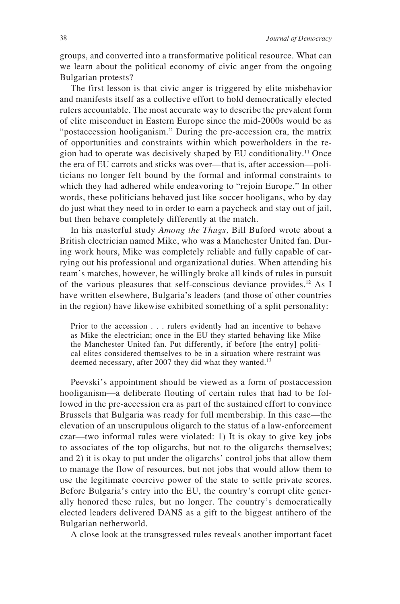groups, and converted into a transformative political resource. What can we learn about the political economy of civic anger from the ongoing Bulgarian protests?

The first lesson is that civic anger is triggered by elite misbehavior and manifests itself as a collective effort to hold democratically elected rulers accountable. The most accurate way to describe the prevalent form of elite misconduct in Eastern Europe since the mid-2000s would be as "postaccession hooliganism." During the pre-accession era, the matrix of opportunities and constraints within which powerholders in the region had to operate was decisively shaped by EU conditionality.11 Once the era of EU carrots and sticks was over—that is, after accession—politicians no longer felt bound by the formal and informal constraints to which they had adhered while endeavoring to "rejoin Europe." In other words, these politicians behaved just like soccer hooligans, who by day do just what they need to in order to earn a paycheck and stay out of jail, but then behave completely differently at the match.

In his masterful study *Among the Thugs,* Bill Buford wrote about a British electrician named Mike, who was a Manchester United fan. During work hours, Mike was completely reliable and fully capable of carrying out his professional and organizational duties. When attending his team's matches, however, he willingly broke all kinds of rules in pursuit of the various pleasures that self-conscious deviance provides.12 As I have written elsewhere, Bulgaria's leaders (and those of other countries in the region) have likewise exhibited something of a split personality:

Prior to the accession . . . rulers evidently had an incentive to behave as Mike the electrician; once in the EU they started behaving like Mike the Manchester United fan. Put differently, if before [the entry] political elites considered themselves to be in a situation where restraint was deemed necessary, after 2007 they did what they wanted.<sup>13</sup>

Peevski's appointment should be viewed as a form of postaccession hooliganism—a deliberate flouting of certain rules that had to be followed in the pre-accession era as part of the sustained effort to convince Brussels that Bulgaria was ready for full membership. In this case—the elevation of an unscrupulous oligarch to the status of a law-enforcement czar—two informal rules were violated: 1) It is okay to give key jobs to associates of the top oligarchs, but not to the oligarchs themselves; and 2) it is okay to put under the oligarchs' control jobs that allow them to manage the flow of resources, but not jobs that would allow them to use the legitimate coercive power of the state to settle private scores. Before Bulgaria's entry into the EU, the country's corrupt elite generally honored these rules, but no longer. The country's democratically elected leaders delivered DANS as a gift to the biggest antihero of the Bulgarian netherworld.

A close look at the transgressed rules reveals another important facet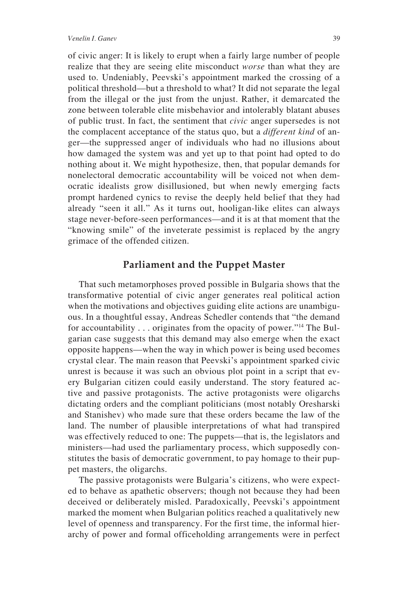of civic anger: It is likely to erupt when a fairly large number of people realize that they are seeing elite misconduct *worse* than what they are used to. Undeniably, Peevski's appointment marked the crossing of a political threshold—but a threshold to what? It did not separate the legal from the illegal or the just from the unjust. Rather, it demarcated the zone between tolerable elite misbehavior and intolerably blatant abuses of public trust. In fact, the sentiment that *civic* anger supersedes is not the complacent acceptance of the status quo, but a *different kind* of anger—the suppressed anger of individuals who had no illusions about how damaged the system was and yet up to that point had opted to do nothing about it. We might hypothesize, then, that popular demands for nonelectoral democratic accountability will be voiced not when democratic idealists grow disillusioned, but when newly emerging facts prompt hardened cynics to revise the deeply held belief that they had already "seen it all." As it turns out, hooligan-like elites can always stage never-before-seen performances—and it is at that moment that the "knowing smile" of the inveterate pessimist is replaced by the angry grimace of the offended citizen.

#### **Parliament and the Puppet Master**

That such metamorphoses proved possible in Bulgaria shows that the transformative potential of civic anger generates real political action when the motivations and objectives guiding elite actions are unambiguous. In a thoughtful essay, Andreas Schedler contends that "the demand for accountability . . . originates from the opacity of power."14 The Bulgarian case suggests that this demand may also emerge when the exact opposite happens—when the way in which power is being used becomes crystal clear. The main reason that Peevski's appointment sparked civic unrest is because it was such an obvious plot point in a script that every Bulgarian citizen could easily understand. The story featured active and passive protagonists. The active protagonists were oligarchs dictating orders and the compliant politicians (most notably Oresharski and Stanishev) who made sure that these orders became the law of the land. The number of plausible interpretations of what had transpired was effectively reduced to one: The puppets—that is, the legislators and ministers—had used the parliamentary process, which supposedly constitutes the basis of democratic government, to pay homage to their puppet masters, the oligarchs.

The passive protagonists were Bulgaria's citizens, who were expected to behave as apathetic observers; though not because they had been deceived or deliberately misled. Paradoxically, Peevski's appointment marked the moment when Bulgarian politics reached a qualitatively new level of openness and transparency. For the first time, the informal hierarchy of power and formal officeholding arrangements were in perfect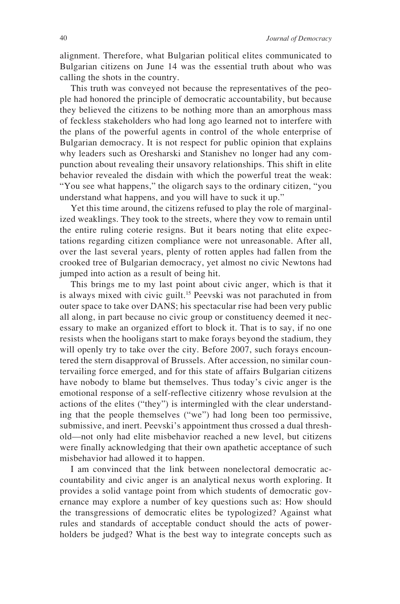alignment. Therefore, what Bulgarian political elites communicated to Bulgarian citizens on June 14 was the essential truth about who was calling the shots in the country.

This truth was conveyed not because the representatives of the people had honored the principle of democratic accountability, but because they believed the citizens to be nothing more than an amorphous mass of feckless stakeholders who had long ago learned not to interfere with the plans of the powerful agents in control of the whole enterprise of Bulgarian democracy. It is not respect for public opinion that explains why leaders such as Oresharski and Stanishev no longer had any compunction about revealing their unsavory relationships. This shift in elite behavior revealed the disdain with which the powerful treat the weak: "You see what happens," the oligarch says to the ordinary citizen, "you understand what happens, and you will have to suck it up."

Yet this time around, the citizens refused to play the role of marginalized weaklings. They took to the streets, where they vow to remain until the entire ruling coterie resigns. But it bears noting that elite expectations regarding citizen compliance were not unreasonable. After all, over the last several years, plenty of rotten apples had fallen from the crooked tree of Bulgarian democracy, yet almost no civic Newtons had jumped into action as a result of being hit.

This brings me to my last point about civic anger, which is that it is always mixed with civic guilt.15 Peevski was not parachuted in from outer space to take over DANS; his spectacular rise had been very public all along, in part because no civic group or constituency deemed it necessary to make an organized effort to block it. That is to say, if no one resists when the hooligans start to make forays beyond the stadium, they will openly try to take over the city. Before 2007, such forays encountered the stern disapproval of Brussels. After accession, no similar countervailing force emerged, and for this state of affairs Bulgarian citizens have nobody to blame but themselves. Thus today's civic anger is the emotional response of a self-reflective citizenry whose revulsion at the actions of the elites ("they") is intermingled with the clear understanding that the people themselves ("we") had long been too permissive, submissive, and inert. Peevski's appointment thus crossed a dual threshold—not only had elite misbehavior reached a new level, but citizens were finally acknowledging that their own apathetic acceptance of such misbehavior had allowed it to happen.

I am convinced that the link between nonelectoral democratic accountability and civic anger is an analytical nexus worth exploring. It provides a solid vantage point from which students of democratic governance may explore a number of key questions such as: How should the transgressions of democratic elites be typologized? Against what rules and standards of acceptable conduct should the acts of powerholders be judged? What is the best way to integrate concepts such as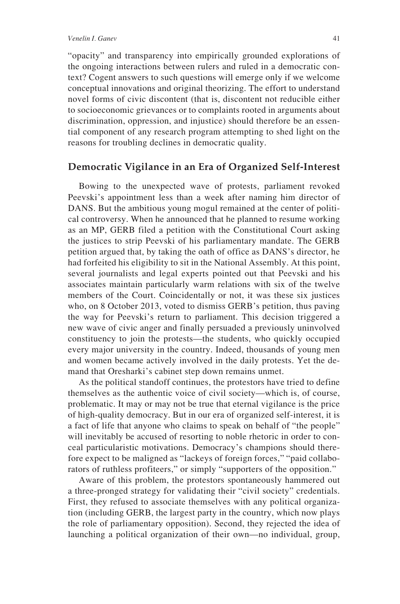"opacity" and transparency into empirically grounded explorations of the ongoing interactions between rulers and ruled in a democratic context? Cogent answers to such questions will emerge only if we welcome conceptual innovations and original theorizing. The effort to understand novel forms of civic discontent (that is, discontent not reducible either to socioeconomic grievances or to complaints rooted in arguments about discrimination, oppression, and injustice) should therefore be an essential component of any research program attempting to shed light on the reasons for troubling declines in democratic quality.

#### **Democratic Vigilance in an Era of Organized Self-Interest**

Bowing to the unexpected wave of protests, parliament revoked Peevski's appointment less than a week after naming him director of DANS. But the ambitious young mogul remained at the center of political controversy. When he announced that he planned to resume working as an MP, GERB filed a petition with the Constitutional Court asking the justices to strip Peevski of his parliamentary mandate. The GERB petition argued that, by taking the oath of office as DANS's director, he had forfeited his eligibility to sit in the National Assembly. At this point, several journalists and legal experts pointed out that Peevski and his associates maintain particularly warm relations with six of the twelve members of the Court. Coincidentally or not, it was these six justices who, on 8 October 2013, voted to dismiss GERB's petition, thus paving the way for Peevski's return to parliament. This decision triggered a new wave of civic anger and finally persuaded a previously uninvolved constituency to join the protests—the students, who quickly occupied every major university in the country. Indeed, thousands of young men and women became actively involved in the daily protests. Yet the demand that Oresharki's cabinet step down remains unmet.

As the political standoff continues, the protestors have tried to define themselves as the authentic voice of civil society—which is, of course, problematic. It may or may not be true that eternal vigilance is the price of high-quality democracy. But in our era of organized self-interest, it is a fact of life that anyone who claims to speak on behalf of "the people" will inevitably be accused of resorting to noble rhetoric in order to conceal particularistic motivations. Democracy's champions should therefore expect to be maligned as "lackeys of foreign forces," "paid collaborators of ruthless profiteers," or simply "supporters of the opposition."

Aware of this problem, the protestors spontaneously hammered out a three-pronged strategy for validating their "civil society" credentials. First, they refused to associate themselves with any political organization (including GERB, the largest party in the country, which now plays the role of parliamentary opposition). Second, they rejected the idea of launching a political organization of their own—no individual, group,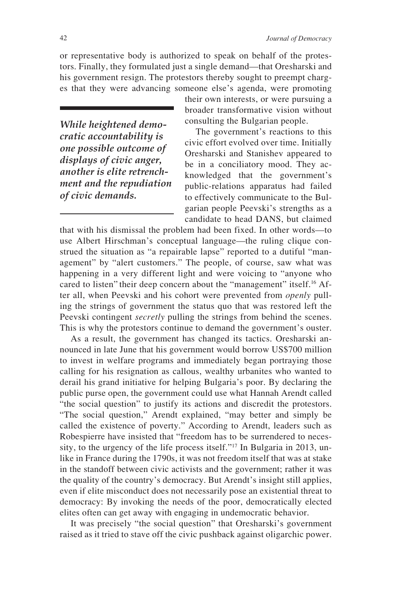or representative body is authorized to speak on behalf of the protestors. Finally, they formulated just a single demand—that Oresharski and his government resign. The protestors thereby sought to preempt charges that they were advancing someone else's agenda, were promoting

*While heightened democratic accountability is one possible outcome of displays of civic anger, another is elite retrenchment and the repudiation of civic demands.* 

their own interests, or were pursuing a broader transformative vision without consulting the Bulgarian people.

The government's reactions to this civic effort evolved over time. Initially Oresharski and Stanishev appeared to be in a conciliatory mood. They acknowledged that the government's public-relations apparatus had failed to effectively communicate to the Bulgarian people Peevski's strengths as a candidate to head DANS, but claimed

that with his dismissal the problem had been fixed. In other words—to use Albert Hirschman's conceptual language—the ruling clique construed the situation as "a repairable lapse" reported to a dutiful "management" by "alert customers." The people, of course, saw what was happening in a very different light and were voicing to "anyone who cared to listen" their deep concern about the "management" itself.<sup>16</sup> After all, when Peevski and his cohort were prevented from *openly* pulling the strings of government the status quo that was restored left the Peevski contingent *secretly* pulling the strings from behind the scenes. This is why the protestors continue to demand the government's ouster.

As a result, the government has changed its tactics. Oresharski announced in late June that his government would borrow US\$700 million to invest in welfare programs and immediately began portraying those calling for his resignation as callous, wealthy urbanites who wanted to derail his grand initiative for helping Bulgaria's poor. By declaring the public purse open, the government could use what Hannah Arendt called "the social question" to justify its actions and discredit the protestors. "The social question," Arendt explained, "may better and simply be called the existence of poverty." According to Arendt, leaders such as Robespierre have insisted that "freedom has to be surrendered to necessity, to the urgency of the life process itself."17 In Bulgaria in 2013, unlike in France during the 1790s, it was not freedom itself that was at stake in the standoff between civic activists and the government; rather it was the quality of the country's democracy. But Arendt's insight still applies, even if elite misconduct does not necessarily pose an existential threat to democracy: By invoking the needs of the poor, democratically elected elites often can get away with engaging in undemocratic behavior.

It was precisely "the social question" that Oresharski's government raised as it tried to stave off the civic pushback against oligarchic power.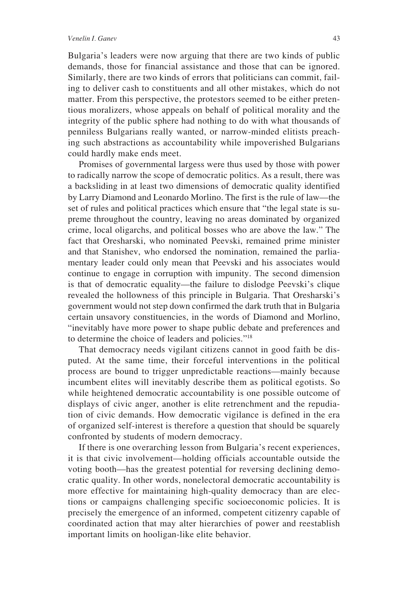Bulgaria's leaders were now arguing that there are two kinds of public demands, those for financial assistance and those that can be ignored. Similarly, there are two kinds of errors that politicians can commit, failing to deliver cash to constituents and all other mistakes, which do not matter. From this perspective, the protestors seemed to be either pretentious moralizers, whose appeals on behalf of political morality and the integrity of the public sphere had nothing to do with what thousands of penniless Bulgarians really wanted, or narrow-minded elitists preaching such abstractions as accountability while impoverished Bulgarians could hardly make ends meet.

Promises of governmental largess were thus used by those with power to radically narrow the scope of democratic politics. As a result, there was a backsliding in at least two dimensions of democratic quality identified by Larry Diamond and Leonardo Morlino. The first is the rule of law—the set of rules and political practices which ensure that "the legal state is supreme throughout the country, leaving no areas dominated by organized crime, local oligarchs, and political bosses who are above the law." The fact that Oresharski, who nominated Peevski, remained prime minister and that Stanishev, who endorsed the nomination, remained the parliamentary leader could only mean that Peevski and his associates would continue to engage in corruption with impunity. The second dimension is that of democratic equality—the failure to dislodge Peevski's clique revealed the hollowness of this principle in Bulgaria. That Oresharski's government would not step down confirmed the dark truth that in Bulgaria certain unsavory constituencies, in the words of Diamond and Morlino, "inevitably have more power to shape public debate and preferences and to determine the choice of leaders and policies."18

That democracy needs vigilant citizens cannot in good faith be disputed. At the same time, their forceful interventions in the political process are bound to trigger unpredictable reactions—mainly because incumbent elites will inevitably describe them as political egotists. So while heightened democratic accountability is one possible outcome of displays of civic anger, another is elite retrenchment and the repudiation of civic demands. How democratic vigilance is defined in the era of organized self-interest is therefore a question that should be squarely confronted by students of modern democracy.

If there is one overarching lesson from Bulgaria's recent experiences, it is that civic involvement—holding officials accountable outside the voting booth—has the greatest potential for reversing declining democratic quality. In other words, nonelectoral democratic accountability is more effective for maintaining high-quality democracy than are elections or campaigns challenging specific socioeconomic policies. It is precisely the emergence of an informed, competent citizenry capable of coordinated action that may alter hierarchies of power and reestablish important limits on hooligan-like elite behavior.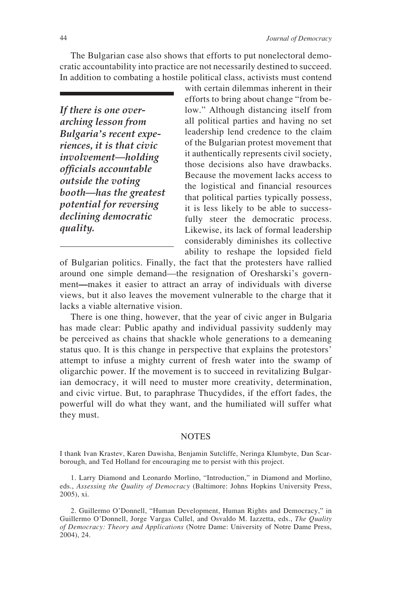The Bulgarian case also shows that efforts to put nonelectoral democratic accountability into practice are not necessarily destined to succeed. In addition to combating a hostile political class, activists must contend

*If there is one overarching lesson from Bulgaria's recent experiences, it is that civic involvement—holding officials accountable outside the voting booth—has the greatest potential for reversing declining democratic quality.*

with certain dilemmas inherent in their efforts to bring about change "from below." Although distancing itself from all political parties and having no set leadership lend credence to the claim of the Bulgarian protest movement that it authentically represents civil society, those decisions also have drawbacks. Because the movement lacks access to the logistical and financial resources that political parties typically possess, it is less likely to be able to successfully steer the democratic process. Likewise, its lack of formal leadership considerably diminishes its collective ability to reshape the lopsided field

of Bulgarian politics. Finally, the fact that the protesters have rallied around one simple demand—the resignation of Oresharski's government**—**makes it easier to attract an array of individuals with diverse views, but it also leaves the movement vulnerable to the charge that it lacks a viable alternative vision.

There is one thing, however, that the year of civic anger in Bulgaria has made clear: Public apathy and individual passivity suddenly may be perceived as chains that shackle whole generations to a demeaning status quo. It is this change in perspective that explains the protestors' attempt to infuse a mighty current of fresh water into the swamp of oligarchic power. If the movement is to succeed in revitalizing Bulgarian democracy, it will need to muster more creativity, determination, and civic virtue. But, to paraphrase Thucydides, if the effort fades, the powerful will do what they want, and the humiliated will suffer what they must.

#### NOTES

I thank Ivan Krastev, Karen Dawisha, Benjamin Sutcliffe, Neringa Klumbyte, Dan Scarborough, and Ted Holland for encouraging me to persist with this project.

1. Larry Diamond and Leonardo Morlino, "Introduction," in Diamond and Morlino, eds., *Assessing the Quality of Democracy* (Baltimore: Johns Hopkins University Press, 2005), xi.

2. Guillermo O'Donnell, "Human Development, Human Rights and Democracy," in Guillermo O'Donnell, Jorge Vargas Cullel, and Osvaldo M. Iazzetta, eds., *The Quality of Democracy: Theory and Applications* (Notre Dame: University of Notre Dame Press, 2004), 24.